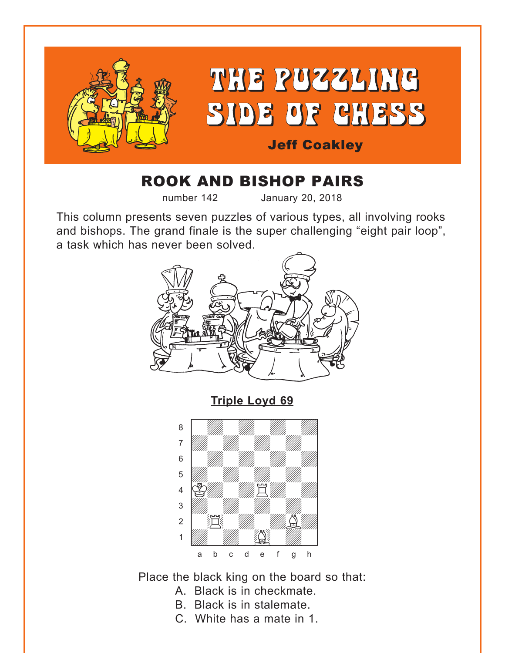<span id="page-0-0"></span>

# ROOK AND BISHOP PAIRS

number 142 January 20, 2018

This column presents seven puzzles of various types, all involving rooks and bishops. The grand finale is the super challenging "eight pair loop", a task which has never been solved.



**[Triple Loyd 69](#page-5-0)**



Place the black king on the board so that:

- A. Black is in checkmate.
- B. Black is in stalemate.
- C. White has a mate in 1.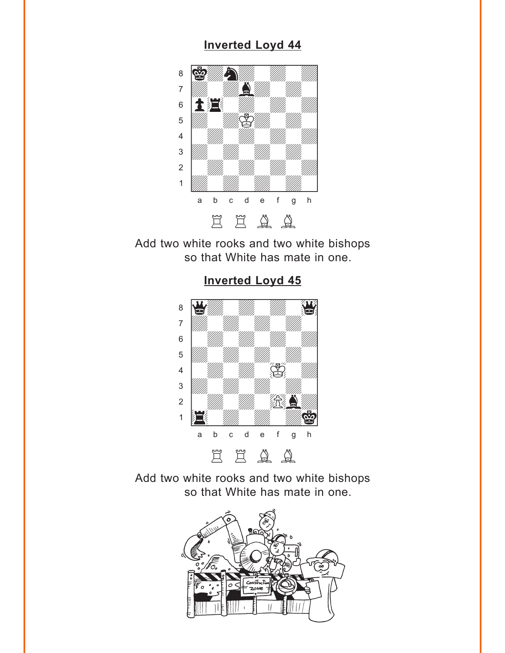### **[Inverted Loyd 44](#page-6-0)**

<span id="page-1-0"></span>

Add two white rooks and two white bishops so that White has mate in one.



**[Inverted Loyd 45](#page-6-0)**

Add two white rooks and two white bishops so that White has mate in one.

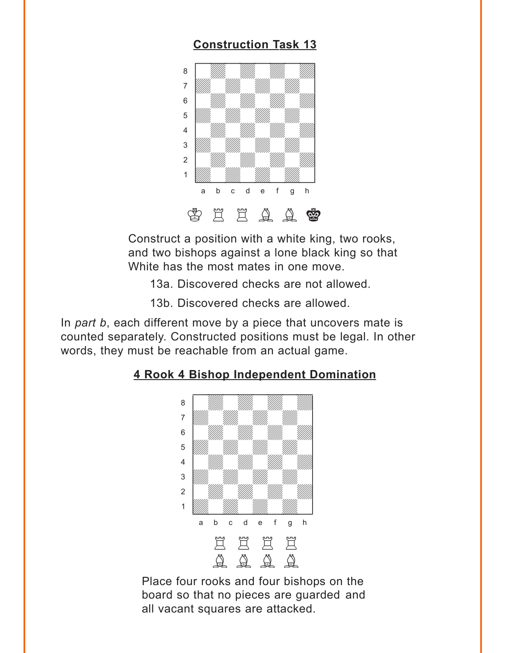### **[Construction Task 13](#page-7-0)**

<span id="page-2-0"></span>

Construct a position with a white king, two rooks, and two bishops against a lone black king so that White has the most mates in one move.

13a. Discovered checks are not allowed.

13b. Discovered checks are allowed.

In *part b*, each different move by a piece that uncovers mate is counted separately. Constructed positions must be legal. In other words, they must be reachable from an actual game.

## where  $\frac{1}{2}$  is the set of  $\frac{1}{2}$  in the set of  $\frac{1}{2}$ a Milliam Milliam Milliam Milliam Milliam Milliam Milliam Milliam Milliam Milliam Milliam Milliam Milliam Mill adwadwadwadwadwadwadwadwadwadwadwa  $\begin{bmatrix} \begin{array}{ccc} \text{S} & \text{S} \end{array} & \text{S} & \text{S} & \text{S} & \text{S} & \text{S} & \text{S} & \text{S} & \text{S} & \text{S} & \text{S} & \text{S} & \text{S} & \text{S} & \text{S} & \text{S} & \text{S} & \text{S} & \text{S} & \text{S} & \text{S} & \text{S} & \text{S} & \text{S} & \text{S} & \text{S} & \text{S} & \text{S} & \text{S} & \text{S} & \text{S} & \text{S} & \text{S$ 5 *VIII. VIII. VIII.* 4 | *William William William William William William William William William William William William William William William William William William William William William William William William William William William W* 3 *William William William William William William William William William William William William William William W* 2 | *William William William William William William William William William William William William William William W* 1 *Údwarf William William William William William William William William William William William William William W* a b c d e f g h EEEE BBBB

### **[4 Rook 4 Bishop Independent Domination](#page-8-0)**

Place four rooks and four bishops on the board so that no pieces are guarded and all vacant squares are attacked.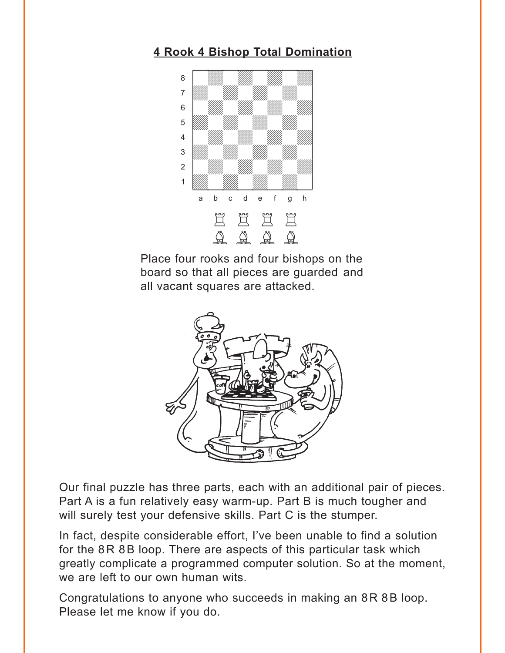### <span id="page-3-0"></span>**[4 Rook 4 Bishop Total Domination](#page-9-0)** water and the second control of the second control of the second control of the second control of the second control of the second control of the second control of the second control of the second control of the second con



Place four rooks and four bishops on the board so that all pieces are guarded and all vacant squares are attacked.



Our final puzzle has three parts, each with an additional pair of pieces. Part A is a fun relatively easy warm-up. Part B is much tougher and will surely test your defensive skills. Part C is the stumper.

In fact, despite considerable effort, I've been unable to find a solution for the 8R 8B loop. There are aspects of this particular task which greatly complicate a programmed computer solution. So at the moment, we are left to our own human wits.

Congratulations to anyone who succeeds in making an 8R 8B loop. Please let me know if you do.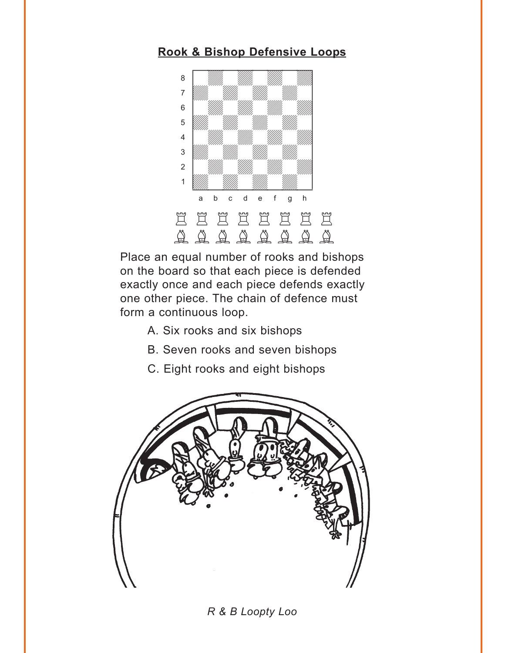### <span id="page-4-0"></span>**[Rook & Bishop Defensive Loops](#page-10-0)**



Place an equal number of rooks and bishops on the board so that each piece is defended exactly once and each piece defends exactly one other piece. The chain of defence must form a continuous loop.

- A. Six rooks and six bishops
- B. Seven rooks and seven bishops
- C. Eight rooks and eight bishops



*R & B Loopty Loo*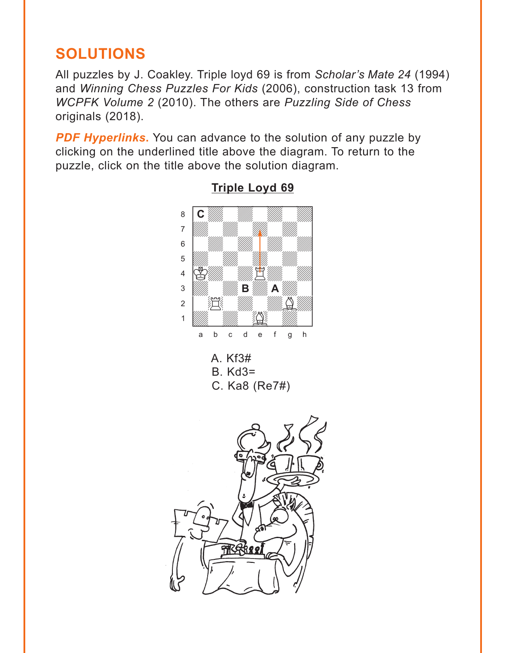# <span id="page-5-0"></span>**SOLUTIONS**

All puzzles by J. Coakley. Triple loyd 69 is from *Scholar's Mate 24* (1994) and *Winning Chess Puzzles For Kids* (2006), construction task 13 from *WCPFK Volume 2* (2010). The others are *Puzzling Side of Chess* originals (2018).

**PDF Hyperlinks.** You can advance to the solution of any puzzle by clicking on the underlined title above the diagram. To return to the puzzle, click on the title above the solution diagram.



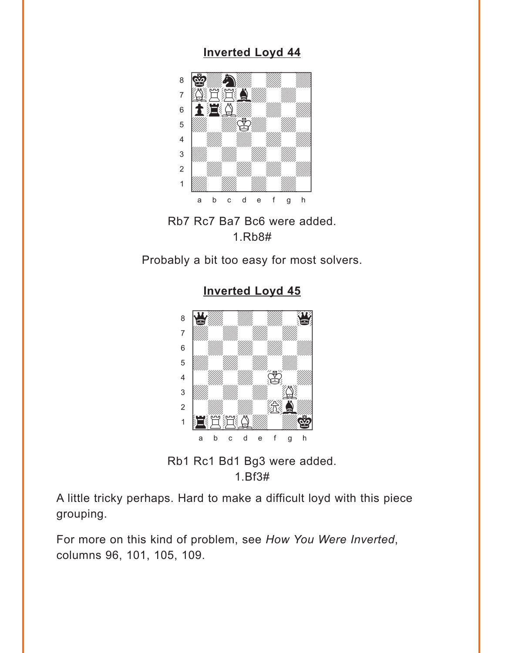## **[Inverted Loyd 44](#page-1-0)**

<span id="page-6-0"></span>



Probably a bit too easy for most solvers.



**[Inverted Loyd 45](#page-1-0)**

Rb1 Rc1 Bd1 Bg3 were added. 1.Bf3#

A little tricky perhaps. Hard to make a difficult loyd with this piece grouping.

For more on this kind of problem, see *How You Were Inverted*, columns 96, 101, 105, 109.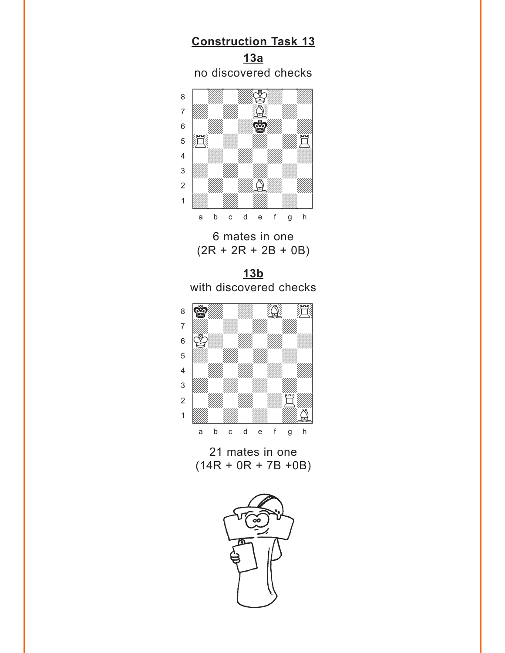# **[Construction Task 13](#page-2-0)**

**13a** no discovered checks

<span id="page-7-0"></span>

6 mates in one  $(2R + 2R + 2B + 0B)$ 

**[13b](#page-2-0)** with discovered checks



### 21 mates in one (14R + 0R + 7B +0B)

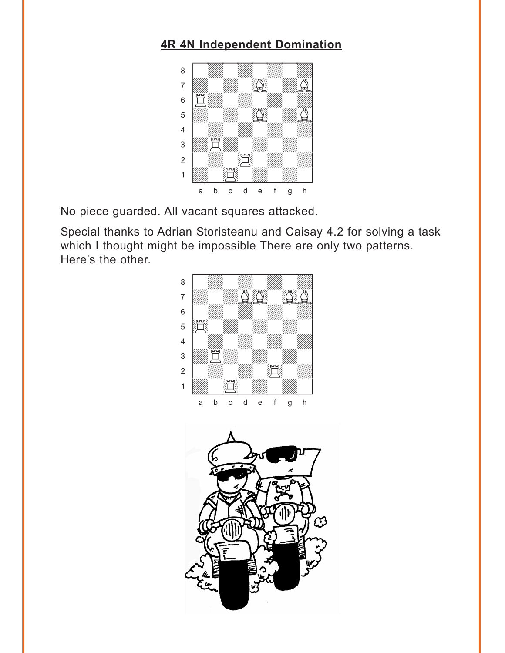### <span id="page-8-0"></span>**[4R 4N Independent Domination](#page-2-0)**



No piece guarded. All vacant squares attacked.

Special thanks to Adrian Storisteanu and Caisay 4.2 for solving a task which I thought might be impossible There are only two patterns. Here's the other.



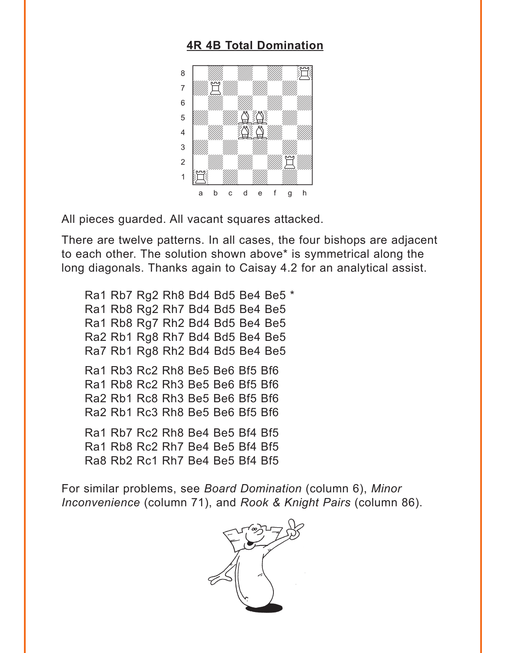### **[4R 4B Total Domination](#page-3-0)**

<span id="page-9-0"></span>

All pieces guarded. All vacant squares attacked.

There are twelve patterns. In all cases, the four bishops are adjacent to each other. The solution shown above\* is symmetrical along the long diagonals. Thanks again to Caisay 4.2 for an analytical assist.

```
Ra1 Rb7 Rg2 Rh8 Bd4 Bd5 Be4 Be5 * 
Ra1 Rb8 Rg2 Rh7 Bd4 Bd5 Be4 Be5 
Ra1 Rb8 Rg7 Rh2 Bd4 Bd5 Be4 Be5
Ra2 Rb1 Rg8 Rh7 Bd4 Bd5 Be4 Be5 
Ra7 Rb1 Rg8 Rh2 Bd4 Bd5 Be4 Be5 
Ra1 Rb3 Rc2 Rh8 Be5 Be6 Bf5 Bf6 
Ra1 Rb8 Rc2 Rh3 Be5 Be6 Bf5 Bf6 
Ra2 Rb1 Rc8 Rh3 Be5 Be6 Bf5 Bf6 
Ra2 Rb1 Rc3 Rh8 Be5 Be6 Bf5 Bf6 
Ra1 Rb7 Rc2 Rh8 Be4 Be5 Bf4 Bf5 
Ra1 Rb8 Rc2 Rh7 Be4 Be5 Bf4 Bf5 
Ra8 Rb2 Rc1 Rh7 Be4 Be5 Bf4 Bf5
```
For similar problems, see *Board Domination* (column 6), *Minor Inconvenience* (column 71), and *Rook & Knight Pairs* (column 86).

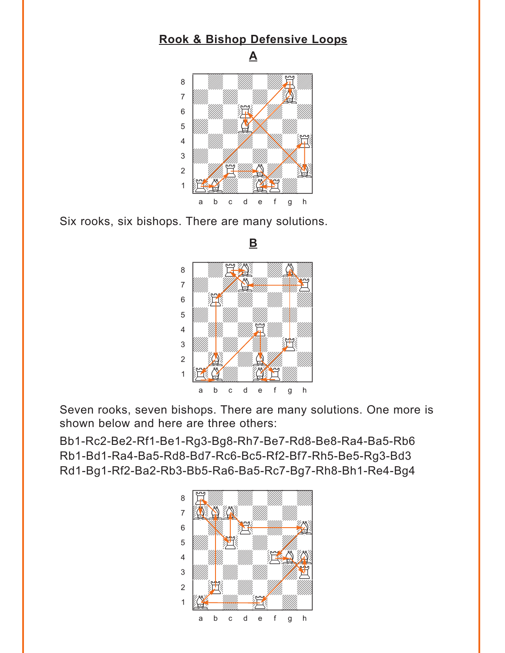#### <span id="page-10-0"></span>**[Rook & Bishop Defensive Loops](#page-4-0)**



Six rooks, six bishops. There are many solutions.



Seven rooks, seven bishops. There are many solutions. One more is shown below and here are three others:

Bb1-Rc2-Be2-Rf1-Be1-Rg3-Bg8-Rh7-Be7-Rd8-Be8-Ra4-Ba5-Rb6 Rb1-Bd1-Ra4-Ba5-Rd8-Bd7-Rc6-Bc5-Rf2-Bf7-Rh5-Be5-Rg3-Bd3 Rd1-Bg1-Rf2-Ba2-Rb3-Bb5-Ra6-Ba5-Rc7-Bg7-Rh8-Bh1-Re4-Bg4